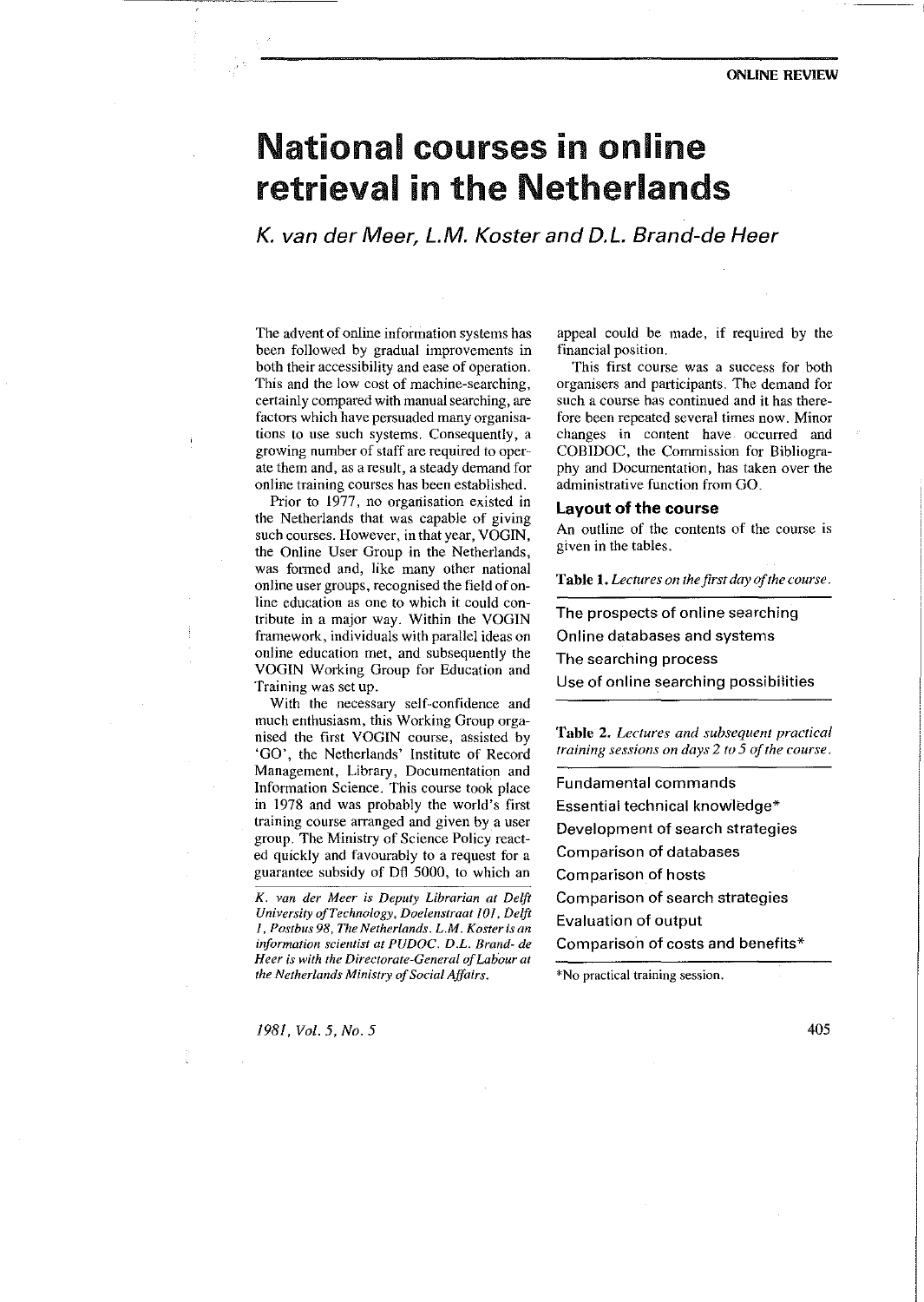#### ONLINE REVIEW

# National courses in online retrieval in the Netherlands

K. van der Meer, L.M. Koster and D.L. Brand-de Heer

The advent of online information systems has been followed by gradual improvements in both their accessibility and ease of operation. This and the low cost of machine-searching, certainly compared with manual searching, are factors which have persuaded many organisations to use such systems. Consequently, a growing number of staff are required to operate them and, as a result, a steady demand for online training courses has been established.

Prior to 1977, no organisation existed in the Netherlands that was capable of giving such courses. However, in that year, VOGIN, the Online User Group in the Netherlands, was formed and, like many other national on line user groups, recognised the field of online education as one to which it could contribute in a major way. Within the VOGIN framework, individuals with parallel ideas on online education met, and subsequently the VOGIN Working Group for Education and Training was set up.

With the necessary self-confidence and much enthusiasm, this Working Group organised the first VOGIN course, assisted by 'GO', the Netherlands' Institute of Record Management, Library, Documentation and Information Science. This course took place in 1978 and was probably the world's first training course arranged and given by a user group. The Ministry of Science Policy reacted quickly and favourably to a request for a guarantee subsidy of Dft 5000, to which an

*K. van der Meer is Deputy Librarian at Delft University ofTechnology, Doelenstraat 101, Delft 1, Postbus 98, The Netherlands. L.M. Koster is an information scientist at PUDOC. D.L. Brand- de H eer is with the Directorate-General of LabOur at the Netherlands Ministry of Social Affairs.* 

*1981, Vol. 5, No. 5* 

appeal could be made, if required by the financial position.

This first course was a success for both organisers and participants. The demand for such a course has continued and it has therefore been repeated several times now. Minor changes in content have occurred and COBIDOC, the Commission for Bibliography and Documentation, has taken over the administrative function from GO.

## Layout of the course

An outline of the contents of the course is given in the tables.

**Table 1.** *Lectures on the first day of the course.* 

The prospects of online searching Online databases and systems The searching process Use of online searching possibilities

**Table** 2. *Lectures and subsequent practical training sessions on days 2 to 5 of the course.* 

Fundamental commands Essential technical knowledge\* Development of search strategies Comparison of databases Comparison of hosts Comparison of search strategies Evaluation of output Comparison of costs and benefits\*

\*No practical training session.

405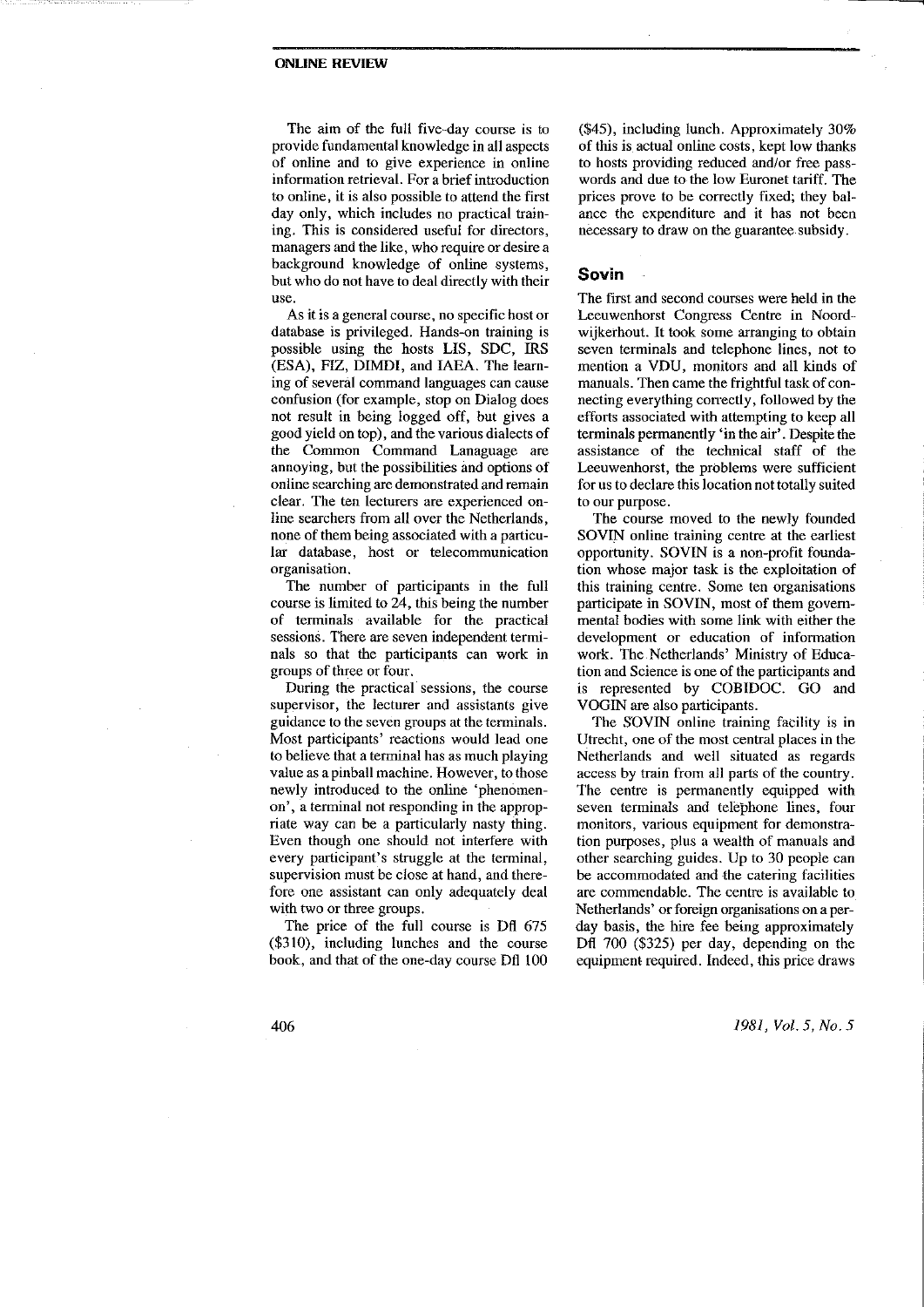#### ONLINE REVIEW

The aim of the full five-day course is to provide fundamental knowledge in all aspects of online and to give experience in online information retrieval. For a brief introduction to online, it is also possible to attend the first day only, which includes no practical training. This is considered useful for directors, managers and the like, who require or desire a background knowledge of online systems, but who do not have to deal directly with their use.

As it is a general course, no specific host or database is privileged. Hands-on training is possible using the hosts LIS, SDC, IRS (ESA), FIZ, DIMDI, and IAEA. The learning of several command languages can cause confusion (for example, stop on Dialog does not result in being logged off, but gives a good yield on top), and the various dialects of the Common Command Lanaguage are annoying, but the possibilities and options of online searching are demonstrated and remain clear. The ten lecturers are experienced online searchers from all over the Netherlands, none of them being associated with a particular database, host or telecommunication organisation.

The number of participants in the full course is limited to 24, this being the number of terminals available for the practical sessions. There are seven independent terminals so that the participants can work in groups of three or four.

During the practical sessions, the course supervisor, the lecturer and assistants give guidance to the seven groups at the terminals. Most participants' reactions would lead one to believe that a terminal has as much playing value as a pinball machine. However, to those newly introduced to the online 'phenomenon', a terminal not responding in the appropriate way can be a particularly nasty thing. Even though one should not interfere with every participant's struggle at the terminal, supervision must be close at hand, and therefore one assistant can only adequately deal with two or three groups.

The price of the full course is Dfl 675 (\$310), including lunches and the course book, and that of the one-day course Dfi 100 (\$45), including lunch. Approximately 30% of this is actual online costs, kept low thanks to hosts providing reduced and/or free passwords and due to the low Euronet tariff. The prices prove to be correctly fixed; they balance the expenditure and it has not been necessary to draw on the guarantee subsidy.

### Sovin

The first and second courses were held in the Leeuwenhorst Congress Centre in Noordwijkerhout. It took some arranging to obtain seven terminals and telephone lines, not to mention a VDU, monitors and all kinds of manuals. Then came the frightful task of connecting everything correctly, followed by the efforts associated with attempting to keep all terminals permanently 'in fhe air'. Despite the assistance of the technical staff of the Leeuwenhorst, the problems were sufficient for us to declare this location not totally suited to our purpose.

The course moved to the newly founded SOVIN online training centre at the earliest opportunity. SOVIN is a non-profit foundation whose major task is the exploitation of this training centre. Some ten organisations participate in SOVIN, most of fhem governmental bodies with some link with either the development or education of information work. The .Netherlands' Ministry of Education and Science is one of the participants and is represented by COBIDOC. GO and VOGIN are also participants.

The SOVIN online training facility is in Utrecht, one of the most central places in the Netherlands and well situated as regards access by train from all parts of the country. The centre is permanently equipped with seven terminals and telephone lines, four monitors, various equipment for demonstration purposes, plus a wealth of manuals and other searching guides. Up to 30 people can be accommodated and the catering facilities are commendable. The centre is available to Netherlands' or foreign organisations on a perday basis, fhe hire fee being approximately Dfi 700 (\$325) per day, depending on the equipment required. Indeed, this price draws

*1981, Vol. 5, No. 5* 

406